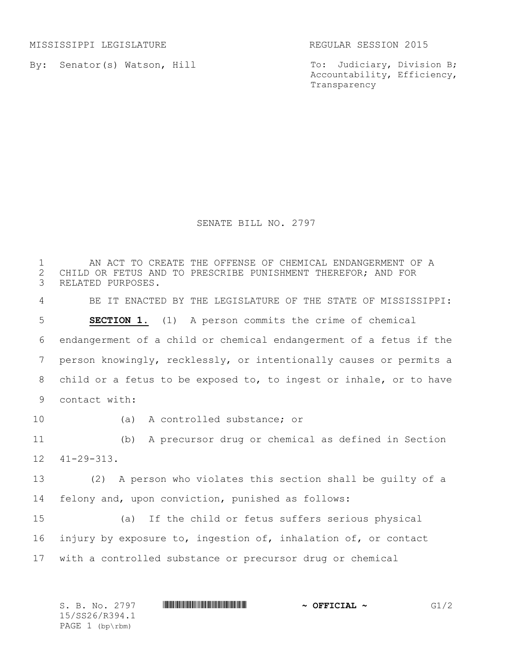MISSISSIPPI LEGISLATURE REGULAR SESSION 2015

By: Senator(s) Watson, Hill

To: Judiciary, Division B; Accountability, Efficiency, Transparency

SENATE BILL NO. 2797

 AN ACT TO CREATE THE OFFENSE OF CHEMICAL ENDANGERMENT OF A 2 CHILD OR FETUS AND TO PRESCRIBE PUNISHMENT THEREFOR; AND FOR<br>3 RELATED PURPOSES. RELATED PURPOSES. BE IT ENACTED BY THE LEGISLATURE OF THE STATE OF MISSISSIPPI: **SECTION 1.** (1) A person commits the crime of chemical endangerment of a child or chemical endangerment of a fetus if the person knowingly, recklessly, or intentionally causes or permits a child or a fetus to be exposed to, to ingest or inhale, or to have contact with: (a) A controlled substance; or (b) A precursor drug or chemical as defined in Section 41-29-313. (2) A person who violates this section shall be guilty of a felony and, upon conviction, punished as follows: (a) If the child or fetus suffers serious physical injury by exposure to, ingestion of, inhalation of, or contact with a controlled substance or precursor drug or chemical

| S. B. No. 2797    | $\sim$ OFFICIAL $\sim$ | G1/2 |
|-------------------|------------------------|------|
| 15/SS26/R394.1    |                        |      |
| PAGE $1$ (bp\rbm) |                        |      |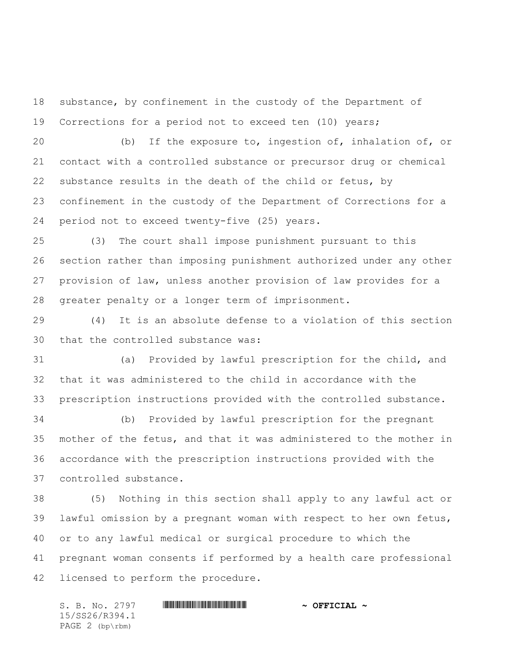substance, by confinement in the custody of the Department of Corrections for a period not to exceed ten (10) years;

 (b) If the exposure to, ingestion of, inhalation of, or contact with a controlled substance or precursor drug or chemical substance results in the death of the child or fetus, by confinement in the custody of the Department of Corrections for a period not to exceed twenty-five (25) years.

 (3) The court shall impose punishment pursuant to this section rather than imposing punishment authorized under any other provision of law, unless another provision of law provides for a greater penalty or a longer term of imprisonment.

 (4) It is an absolute defense to a violation of this section that the controlled substance was:

 (a) Provided by lawful prescription for the child, and that it was administered to the child in accordance with the prescription instructions provided with the controlled substance.

 (b) Provided by lawful prescription for the pregnant mother of the fetus, and that it was administered to the mother in accordance with the prescription instructions provided with the controlled substance.

 (5) Nothing in this section shall apply to any lawful act or lawful omission by a pregnant woman with respect to her own fetus, or to any lawful medical or surgical procedure to which the pregnant woman consents if performed by a health care professional licensed to perform the procedure.

S. B. No. 2797 \*SS26/R394.1\* **~ OFFICIAL ~** 15/SS26/R394.1 PAGE 2 (bp\rbm)